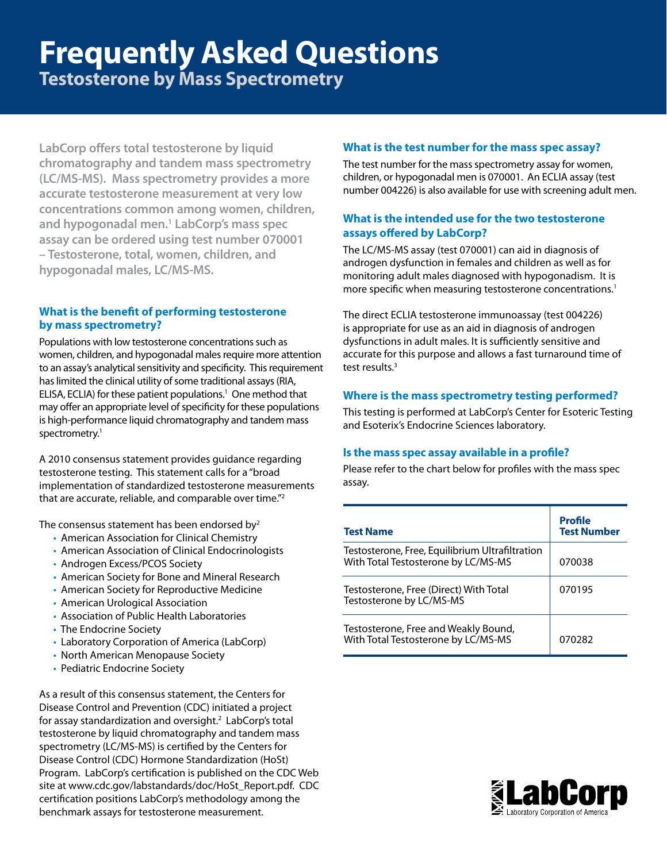# **Frequently Asked Questions**

**Testosterone by Mass Spectrometry**

**LabCorp offers total testosterone by liquid chromatography and tandem mass spectrometry (LC/MS-MS). Mass spectrometry provides a more accurate testosterone measurement at very low concentrations common among women, children, and hypogonadal men.1 LabCorp's mass spec assay can be ordered using test number 070001 – Testosterone, total, women, children, and hypogonadal males, LC/MS-MS.**

#### **What is the benefit of performing testosterone by mass spectrometry?**

Populations with low testosterone concentrations such as women, children, and hypogonadal males require more attention to an assay's analytical sensitivity and specificity. This requirement has limited the clinical utility of some traditional assays (RIA, ELISA, ECLIA) for these patient populations.<sup>1</sup> One method that may offer an appropriate level of specificity for these populations is high-performance liquid chromatography and tandem mass spectrometry.<sup>1</sup>

A 2010 consensus statement provides guidance regarding testosterone testing. This statement calls for a "broad implementation of standardized testosterone measurements that are accurate, reliable, and comparable over time."2

The consensus statement has been endorsed by $2$ 

- American Association for Clinical Chemistry
- American Association of Clinical Endocrinologists
- Androgen Excess/PCOS Society
- American Society for Bone and Mineral Research
- American Society for Reproductive Medicine
- American Urological Association
- Association of Public Health Laboratories
- The Endocrine Society
- Laboratory Corporation of America (LabCorp)
- North American Menopause Society
- Pediatric Endocrine Society

As a result of this consensus statement, the Centers for Disease Control and Prevention (CDC) initiated a project for assay standardization and oversight.<sup>2</sup> LabCorp's total testosterone by liquid chromatography and tandem mass spectrometry (LC/MS-MS) is certified by the Centers for Disease Control (CDC) Hormone Standardization (HoSt) Program. LabCorp's certification is published on the CDC Web site at www.cdc.gov/labstandards/doc/HoSt\_Report.pdf. CDC certification positions LabCorp's methodology among the benchmark assays for testosterone measurement.

#### **What is the test number for the mass spec assay?**

The test number for the mass spectrometry assay for women, children, or hypogonadal men is 070001. An ECLIA assay (test number 004226) is also available for use with screening adult men.

#### **What is the intended use for the two testosterone assays offered by LabCorp?**

The LC/MS-MS assay (test 070001) can aid in diagnosis of androgen dysfunction in females and children as well as for monitoring adult males diagnosed with hypogonadism. It is more specific when measuring testosterone concentrations.1

The direct ECLIA testosterone immunoassay (test 004226) is appropriate for use as an aid in diagnosis of androgen dysfunctions in adult males. It is sufficiently sensitive and accurate for this purpose and allows a fast turnaround time of test results.<sup>3</sup>

#### **Where is the mass spectrometry testing performed?**

This testing is performed at LabCorp's Center for Esoteric Testing and Esoterix's Endocrine Sciences laboratory.

#### **Is the mass spec assay available in a profile?**

Please refer to the chart below for profiles with the mass spec assay.

| <b>Test Name</b>                                                                       | Profile<br><b>Test Number</b> |
|----------------------------------------------------------------------------------------|-------------------------------|
| Testosterone, Free, Equilibrium Ultrafiltration<br>With Total Testosterone by LC/MS-MS | 070038                        |
| Testosterone, Free (Direct) With Total<br>Testosterone by LC/MS-MS                     | 070195                        |
| Testosterone, Free and Weakly Bound,<br>With Total Testosterone by LC/MS-MS            | 070282                        |